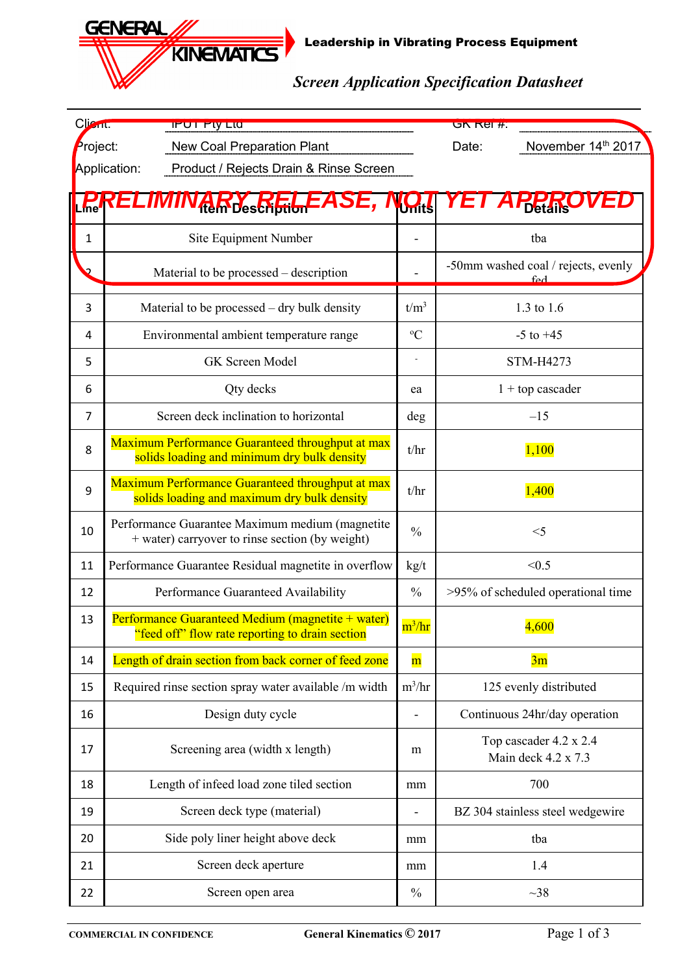Leadership in Vibrating Process Equipment

*Screen Application Specification Datasheet*

| Client:        | <b>IFUT FIY LIG</b>                                                                                  |               | <b>GK Rel #:</b>                                        |  |  |
|----------------|------------------------------------------------------------------------------------------------------|---------------|---------------------------------------------------------|--|--|
| Project:       | <b>New Coal Preparation Plant</b>                                                                    |               | November 14th 2017<br>Date:                             |  |  |
|                | Product / Rejects Drain & Rinse Screen<br>Application:                                               |               |                                                         |  |  |
|                | <b>Rein Description</b>                                                                              | <b>UH:S</b>   |                                                         |  |  |
| $\mathbf{1}$   | Site Equipment Number                                                                                |               | tba                                                     |  |  |
|                | Material to be processed - description                                                               |               | -50mm washed coal / rejects, evenly<br>$f_{\mathbf{P}}$ |  |  |
| 3              | Material to be processed – dry bulk density                                                          |               | 1.3 to 1.6                                              |  |  |
| 4              | Environmental ambient temperature range                                                              |               | $-5$ to $+45$                                           |  |  |
| 5              | GK Screen Model                                                                                      |               | STM-H4273                                               |  |  |
| 6              | Qty decks                                                                                            | ea            | $1 +$ top cascader                                      |  |  |
| $\overline{7}$ | Screen deck inclination to horizontal                                                                | deg           | $-15$                                                   |  |  |
| 8              | Maximum Performance Guaranteed throughput at max<br>solids loading and minimum dry bulk density      | t/hr          | 1,100                                                   |  |  |
| 9              | Maximum Performance Guaranteed throughput at max<br>solids loading and maximum dry bulk density      | t/hr          | 1,400                                                   |  |  |
| 10             | Performance Guarantee Maximum medium (magnetite<br>+ water) carryover to rinse section (by weight)   | $\frac{0}{0}$ | $<$ 5                                                   |  |  |
| 11             | Performance Guarantee Residual magnetite in overflow                                                 |               | < 0.5                                                   |  |  |
| 12             | Performance Guaranteed Availability                                                                  | $\frac{0}{0}$ | >95% of scheduled operational time                      |  |  |
| 13             | Performance Guaranteed Medium (magnetite + water)<br>"feed off" flow rate reporting to drain section | $m^3/hr$      | 4,600                                                   |  |  |
| 14             | Length of drain section from back corner of feed zone                                                | $\mathbf{m}$  | 3m                                                      |  |  |
| 15             | Required rinse section spray water available /m width                                                | $m^3/hr$      | 125 evenly distributed                                  |  |  |
| 16             | Design duty cycle                                                                                    |               | Continuous 24hr/day operation                           |  |  |
| 17             | Screening area (width x length)                                                                      | m             | Top cascader 4.2 x 2.4<br>Main deck 4.2 x 7.3           |  |  |
| 18             | Length of infeed load zone tiled section                                                             | mm            | 700                                                     |  |  |
| 19             | Screen deck type (material)                                                                          |               | BZ 304 stainless steel wedgewire                        |  |  |
| 20             | Side poly liner height above deck                                                                    |               | tba                                                     |  |  |
| 21             | Screen deck aperture                                                                                 |               | 1.4                                                     |  |  |
| 22             | Screen open area                                                                                     | $\frac{0}{0}$ | $~1$ 38                                                 |  |  |

**GENERAL,** 

**KINEMATICS**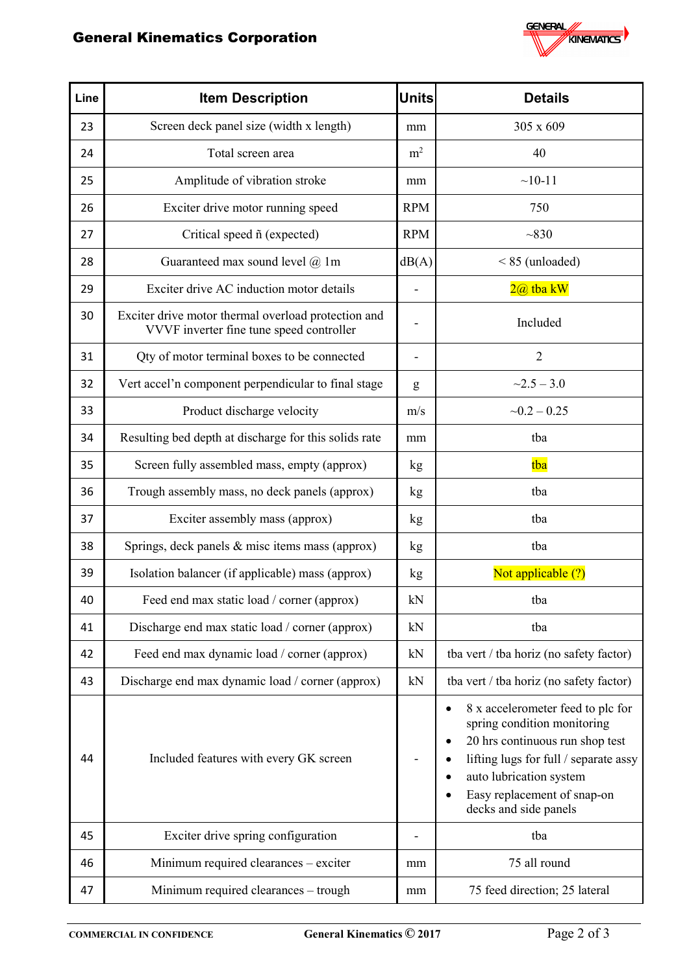## General Kinematics Corporation



| Line | <b>Item Description</b>                                                                         | <b>Units</b>   | <b>Details</b>                                                                                                                                                                                                                       |  |
|------|-------------------------------------------------------------------------------------------------|----------------|--------------------------------------------------------------------------------------------------------------------------------------------------------------------------------------------------------------------------------------|--|
| 23   | Screen deck panel size (width x length)                                                         | mm             | 305 x 609                                                                                                                                                                                                                            |  |
| 24   | Total screen area                                                                               | m <sup>2</sup> | 40                                                                                                                                                                                                                                   |  |
| 25   | Amplitude of vibration stroke                                                                   | mm             | $~10-11$                                                                                                                                                                                                                             |  |
| 26   | Exciter drive motor running speed                                                               | <b>RPM</b>     | 750                                                                                                                                                                                                                                  |  |
| 27   | Critical speed $ñ$ (expected)                                                                   | <b>RPM</b>     | ~1830                                                                                                                                                                                                                                |  |
| 28   | Guaranteed max sound level $@$ 1m                                                               | dB(A)          | $< 85$ (unloaded)                                                                                                                                                                                                                    |  |
| 29   | Exciter drive AC induction motor details                                                        | -              | $2@$ tba kW                                                                                                                                                                                                                          |  |
| 30   | Exciter drive motor thermal overload protection and<br>VVVF inverter fine tune speed controller | -              | Included                                                                                                                                                                                                                             |  |
| 31   | Qty of motor terminal boxes to be connected                                                     |                | $\overline{2}$                                                                                                                                                                                                                       |  |
| 32   | Vert accel'n component perpendicular to final stage                                             | g              | $~2.5 - 3.0$                                                                                                                                                                                                                         |  |
| 33   | Product discharge velocity                                                                      | m/s            | $-0.2 - 0.25$                                                                                                                                                                                                                        |  |
| 34   | Resulting bed depth at discharge for this solids rate                                           | mm             | tba                                                                                                                                                                                                                                  |  |
| 35   | Screen fully assembled mass, empty (approx)                                                     | kg             | tba                                                                                                                                                                                                                                  |  |
| 36   | Trough assembly mass, no deck panels (approx)                                                   | kg             | tba                                                                                                                                                                                                                                  |  |
| 37   | Exciter assembly mass (approx)                                                                  | kg             | tba                                                                                                                                                                                                                                  |  |
| 38   | Springs, deck panels & misc items mass (approx)                                                 | kg             | tba                                                                                                                                                                                                                                  |  |
| 39   | Isolation balancer (if applicable) mass (approx)                                                | kg             | Not applicable (?)                                                                                                                                                                                                                   |  |
| 40   | Feed end max static load / corner (approx)                                                      | kN             | tba                                                                                                                                                                                                                                  |  |
| 41   | Discharge end max static load / corner (approx)                                                 | kN             | tba                                                                                                                                                                                                                                  |  |
| 42   | Feed end max dynamic load / corner (approx)                                                     | kN             | tba vert / tba horiz (no safety factor)                                                                                                                                                                                              |  |
| 43   | Discharge end max dynamic load / corner (approx)                                                | kN             | tba vert / tba horiz (no safety factor)                                                                                                                                                                                              |  |
| 44   | Included features with every GK screen                                                          |                | 8 x accelerometer feed to plc for<br>spring condition monitoring<br>20 hrs continuous run shop test<br>٠<br>lifting lugs for full / separate assy<br>auto lubrication system<br>Easy replacement of snap-on<br>decks and side panels |  |
| 45   | Exciter drive spring configuration                                                              |                | tba                                                                                                                                                                                                                                  |  |
| 46   | Minimum required clearances - exciter                                                           | mm             | 75 all round                                                                                                                                                                                                                         |  |
| 47   | Minimum required clearances - trough                                                            | mm             | 75 feed direction; 25 lateral                                                                                                                                                                                                        |  |